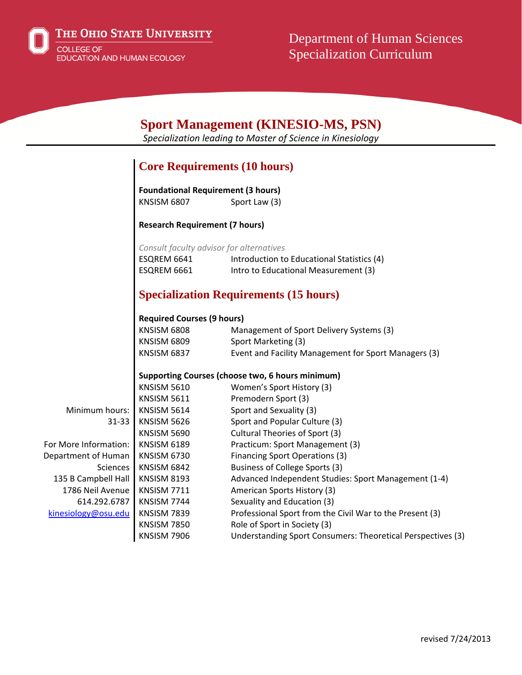

THE OHIO STATE UNIVERSITY COLLEGE OF EDUCATION AND HUMAN ECOLOGY

Department of Human Sciences Specialization Curriculum

| <b>Sport Management (KINESIO-MS, PSN)</b><br>Specialization leading to Master of Science in Kinesiology |                                                  |                                                             |  |
|---------------------------------------------------------------------------------------------------------|--------------------------------------------------|-------------------------------------------------------------|--|
|                                                                                                         |                                                  |                                                             |  |
|                                                                                                         |                                                  |                                                             |  |
|                                                                                                         | <b>Core Requirements (10 hours)</b>              |                                                             |  |
|                                                                                                         | <b>Foundational Requirement (3 hours)</b>        |                                                             |  |
|                                                                                                         | <b>KNSISM 6807</b>                               | Sport Law (3)                                               |  |
|                                                                                                         | <b>Research Requirement (7 hours)</b>            |                                                             |  |
|                                                                                                         | Consult faculty advisor for alternatives         |                                                             |  |
|                                                                                                         | ESQREM 6641                                      | Introduction to Educational Statistics (4)                  |  |
|                                                                                                         | ESQREM 6661                                      | Intro to Educational Measurement (3)                        |  |
|                                                                                                         | <b>Specialization Requirements (15 hours)</b>    |                                                             |  |
|                                                                                                         | <b>Required Courses (9 hours)</b>                |                                                             |  |
|                                                                                                         | <b>KNSISM 6808</b>                               | Management of Sport Delivery Systems (3)                    |  |
|                                                                                                         | <b>KNSISM 6809</b>                               | Sport Marketing (3)                                         |  |
|                                                                                                         | <b>KNSISM 6837</b>                               | Event and Facility Management for Sport Managers (3)        |  |
|                                                                                                         | Supporting Courses (choose two, 6 hours minimum) |                                                             |  |
|                                                                                                         | <b>KNSISM 5610</b>                               | Women's Sport History (3)                                   |  |
|                                                                                                         | <b>KNSISM 5611</b>                               | Premodern Sport (3)                                         |  |
| Minimum hours:                                                                                          | KNSISM 5614                                      | Sport and Sexuality (3)                                     |  |
| 31-33                                                                                                   | <b>KNSISM 5626</b>                               | Sport and Popular Culture (3)                               |  |
|                                                                                                         | KNSISM 5690                                      | Cultural Theories of Sport (3)                              |  |
| For More Information:                                                                                   | <b>KNSISM 6189</b>                               | Practicum: Sport Management (3)                             |  |
| Department of Human                                                                                     | KNSISM 6730                                      | <b>Financing Sport Operations (3)</b>                       |  |
| <b>Sciences</b>                                                                                         | <b>KNSISM 6842</b>                               | Business of College Sports (3)                              |  |
| 135 B Campbell Hall                                                                                     | <b>KNSISM 8193</b>                               | Advanced Independent Studies: Sport Management (1-4)        |  |
| 1786 Neil Avenue                                                                                        | <b>KNSISM 7711</b>                               | American Sports History (3)                                 |  |
| 614.292.6787                                                                                            | KNSISM 7744                                      | Sexuality and Education (3)                                 |  |
| kinesiology@osu.edu                                                                                     | <b>KNSISM 7839</b>                               | Professional Sport from the Civil War to the Present (3)    |  |
|                                                                                                         | <b>KNSISM 7850</b>                               | Role of Sport in Society (3)                                |  |
|                                                                                                         | <b>KNSISM 7906</b>                               | Understanding Sport Consumers: Theoretical Perspectives (3) |  |